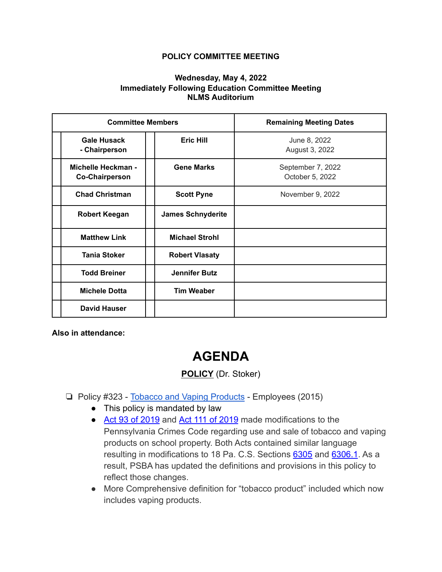## **POLICY COMMITTEE MEETING**

## **Wednesday, May 4, 2022 Immediately Following Education Committee Meeting NLMS Auditorium**

| <b>Committee Members</b>                    |                          | <b>Remaining Meeting Dates</b>       |
|---------------------------------------------|--------------------------|--------------------------------------|
| <b>Gale Husack</b><br>- Chairperson         | <b>Eric Hill</b>         | June 8, 2022<br>August 3, 2022       |
| Michelle Heckman -<br><b>Co-Chairperson</b> | <b>Gene Marks</b>        | September 7, 2022<br>October 5, 2022 |
| <b>Chad Christman</b>                       | <b>Scott Pyne</b>        | November 9, 2022                     |
| Robert Keegan                               | <b>James Schnyderite</b> |                                      |
| <b>Matthew Link</b>                         | <b>Michael Strohl</b>    |                                      |
| <b>Tania Stoker</b>                         | <b>Robert Vlasaty</b>    |                                      |
| <b>Todd Breiner</b>                         | <b>Jennifer Butz</b>     |                                      |
| <b>Michele Dotta</b>                        | <b>Tim Weaber</b>        |                                      |
| <b>David Hauser</b>                         |                          |                                      |

**Also in attendance:**

## **AGENDA**

## **POLICY** (Dr. Stoker)

- ❏ Policy #323 [Tobacco and Vaping Products](https://drive.google.com/file/d/1AsSsyhmntTFs6iVTrZ3gA6FfRfLZWSVf/view?usp=sharing) Employees (2015)
	- This policy is mandated by law
	- [Act 93 of 2019](https://www.legis.state.pa.us/cfdocs/Legis/LI/uconsCheck.cfm?txtType=HTM&yr=2019&sessInd=0&smthLwInd=0&act=0093.) and [Act 111 of 2019](https://www.legis.state.pa.us/cfdocs/Legis/LI/uconsCheck.cfm?txtType=HTM&yr=2019&sessInd=0&smthLwInd=0&act=0111.) made modifications to the Pennsylvania Crimes Code regarding use and sale of tobacco and vaping products on school property. Both Acts contained similar language resulting in modifications to 18 Pa. C.S. Sections [6305](https://www.legis.state.pa.us/cfdocs/legis/LI/consCheck.cfm?txtType=HTM&ttl=18&div=0&chpt=63&sctn=5&subsctn=0) and [6306.1](https://www.legis.state.pa.us/cfdocs/legis/LI/consCheck.cfm?txtType=HTM&ttl=18&div=0&chpt=63&sctn=6&subsctn=1). As a result, PSBA has updated the definitions and provisions in this policy to reflect those changes.
	- More Comprehensive definition for "tobacco product" included which now includes vaping products.